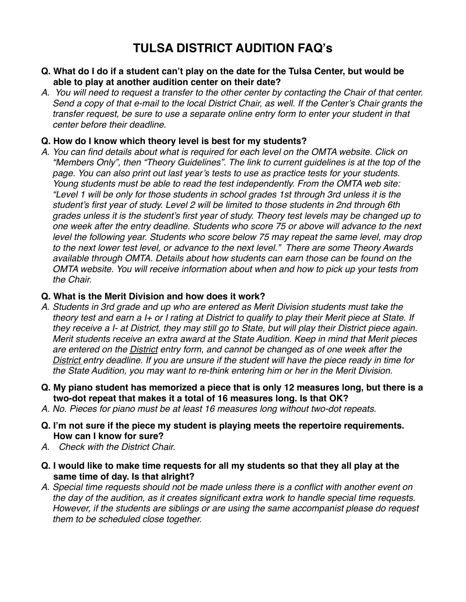## **TULSA DISTRICT AUDITION FAQ's**

- **Q. What do I do if a student can't play on the date for the Tulsa Center, but would be able to play at another audition center on their date?**
- *A. You will need to request a transfer to the other center by contacting the Chair of that center. Send a copy of that e-mail to the local District Chair, as well. If the Center's Chair grants the transfer request, be sure to use a separate online entry form to enter your student in that center before their deadline.*

## **Q. How do I know which theory level is best for my students?**

*A. You can find details about what is required for each level on the OMTA website. Click on "Members Only", then "Theory Guidelines". The link to current guidelines is at the top of the page. You can also print out last year's tests to use as practice tests for your students. Young students must be able to read the test independently. From the OMTA web site: "Level 1 will be only for those students in school grades 1st through 3rd unless it is the student's first year of study. Level 2 will be limited to those students in 2nd through 6th grades unless it is the student's first year of study. Theory test levels may be changed up to one week after the entry deadline. Students who score 75 or above will advance to the next level the following year. Students who score below 75 may repeat the same level, may drop to the next lower test level, or advance to the next level." There are some Theory Awards available through OMTA. Details about how students can earn those can be found on the OMTA website. You will receive information about when and how to pick up your tests from the Chair.*

## **Q. What is the Merit Division and how does it work?**

- *A. Students in 3rd grade and up who are entered as Merit Division students must take the theory test and earn a I+ or I rating at District to qualify to play their Merit piece at State. If they receive a I- at District, they may still go to State, but will play their District piece again. Merit students receive an extra award at the State Audition. Keep in mind that Merit pieces are entered on the District entry form, and cannot be changed as of one week after the District entry deadline. If you are unsure if the student will have the piece ready in time for the State Audition, you may want to re-think entering him or her in the Merit Division.*
- **Q. My piano student has memorized a piece that is only 12 measures long, but there is a two-dot repeat that makes it a total of 16 measures long. Is that OK?**
- *A. No. Pieces for piano must be at least 16 measures long without two-dot repeats.*
- **Q. I'm not sure if the piece my student is playing meets the repertoire requirements. How can I know for sure?**
- *A. Check with the District Chair.*
- **Q. I would like to make time requests for all my students so that they all play at the same time of day. Is that alright?**
- *A. Special time requests should not be made unless there is a conflict with another event on the day of the audition, as it creates significant extra work to handle special time requests. However, if the students are siblings or are using the same accompanist please do request them to be scheduled close together.*